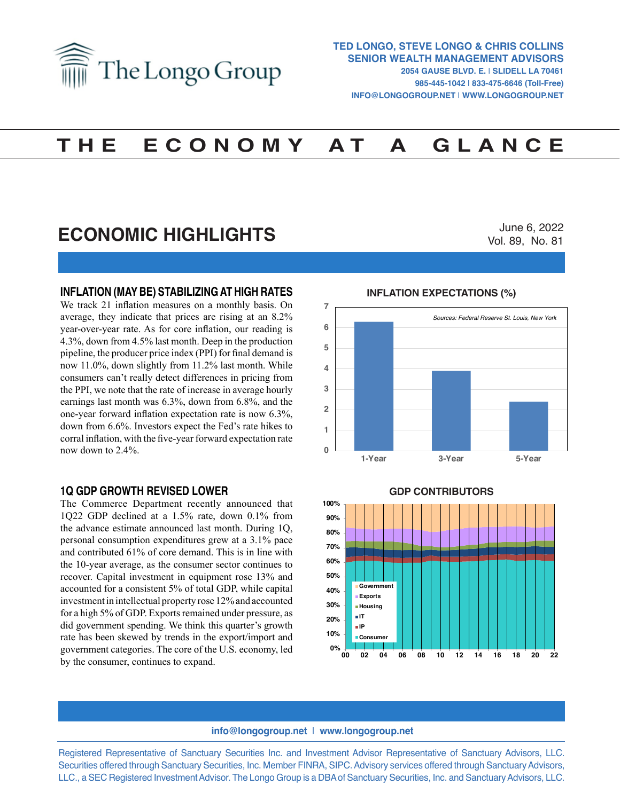

# **T H E E C O N O M Y A T A G L A N C E**

## **ECONOMIC HIGHLIGHTS**

June 6, 2022 Vol. 89, No. 81

## **INFLATION (MAY BE) STABILIZING AT HIGH RATES**

We track 21 inflation measures on a monthly basis. On average, they indicate that prices are rising at an 8.2% year-over-year rate. As for core inflation, our reading is 4.3%, down from 4.5% last month. Deep in the production pipeline, the producer price index (PPI) for final demand is now 11.0%, down slightly from 11.2% last month. While consumers can't really detect differences in pricing from the PPI, we note that the rate of increase in average hourly earnings last month was 6.3%, down from 6.8%, and the one-year forward inflation expectation rate is now 6.3%, down from 6.6%. Investors expect the Fed's rate hikes to corral inflation, with the five-year forward expectation rate now down to 2.4%.

#### **1Q GDP GROWTH REVISED LOWER**

The Commerce Department recently announced that 1Q22 GDP declined at a 1.5% rate, down 0.1% from the advance estimate announced last month. During 1Q, personal consumption expenditures grew at a 3.1% pace and contributed 61% of core demand. This is in line with the 10-year average, as the consumer sector continues to recover. Capital investment in equipment rose 13% and accounted for a consistent 5% of total GDP, while capital investment in intellectual property rose 12% and accounted for a high 5% of GDP. Exports remained under pressure, as did government spending. We think this quarter's growth rate has been skewed by trends in the export/import and government categories. The core of the U.S. economy, led by the consumer, continues to expand.

#### **INFLATION EXPECTATIONS (%) INFLATION EXPECTATIONS (%)**



**GDP CONTRIBUTORS GDP Contributors**



#### **info@longogroup.net** | **www.longogroup.net**

Registered Representative of Sanctuary Securities Inc. and Investment Advisor Representative of Sanctuary Advisors, LLC. Securities offered through Sanctuary Securities, Inc. Member FINRA, SIPC. Advisory services offered through Sanctuary Advisors, LLC., a SEC Registered Investment Advisor. The Longo Group is a DBA of Sanctuary Securities, Inc. and Sanctuary Advisors, LLC.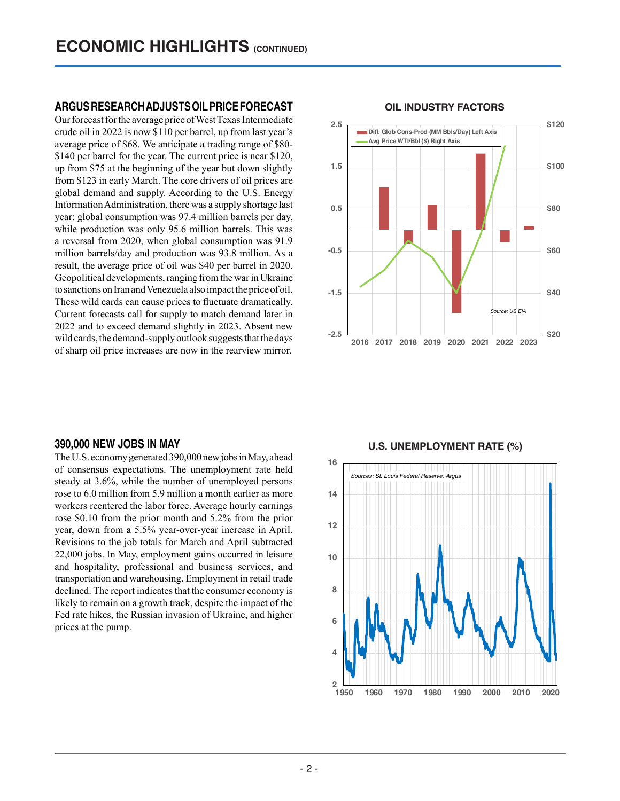## **ARGUS RESEARCH ADJUSTS OIL PRICE FORECAST**

Our forecast for the average price of West Texas Intermediate crude oil in 2022 is now \$110 per barrel, up from last year's average price of \$68. We anticipate a trading range of \$80- \$140 per barrel for the year. The current price is near \$120, up from \$75 at the beginning of the year but down slightly from \$123 in early March. The core drivers of oil prices are global demand and supply. According to the U.S. Energy Information Administration, there was a supply shortage last year: global consumption was 97.4 million barrels per day, while production was only 95.6 million barrels. This was a reversal from 2020, when global consumption was 91.9 million barrels/day and production was 93.8 million. As a result, the average price of oil was \$40 per barrel in 2020. Geopolitical developments, ranging from the war in Ukraine to sanctions on Iran and Venezuela also impact the price of oil. These wild cards can cause prices to fluctuate dramatically. Current forecasts call for supply to match demand later in 2022 and to exceed demand slightly in 2023. Absent new wild cards, the demand-supply outlook suggests that the days of sharp oil price increases are now in the rearview mirror.

## **\$20 \$40 \$60 \$80 \$100 \$120 -2.5 -1.5 -0.5 0.5 1.5 2.5 2016 2017 2018 2019 2020 2021 2022 2023 Diff. Glob Cons-Prod (MM Bbls/Day) Left Axis Avg Price WTI/Bbl (\$) Right Axis** *Source: US EIA*

#### **OIL INDUSTRY FACTORS OIL INDUSTRY FACTORS**

#### **390,000 NEW JOBS IN MAY**

The U.S. economy generated 390,000 new jobs in May, ahead of consensus expectations. The unemployment rate held steady at 3.6%, while the number of unemployed persons rose to 6.0 million from 5.9 million a month earlier as more workers reentered the labor force. Average hourly earnings rose \$0.10 from the prior month and 5.2% from the prior year, down from a 5.5% year-over-year increase in April. Revisions to the job totals for March and April subtracted 22,000 jobs. In May, employment gains occurred in leisure and hospitality, professional and business services, and transportation and warehousing. Employment in retail trade declined. The report indicates that the consumer economy is likely to remain on a growth track, despite the impact of the Fed rate hikes, the Russian invasion of Ukraine, and higher prices at the pump.

## **U.S. UNEMPLOYMENT RATE (%) U.S. UNEMPLOYMENT RATE (%)**

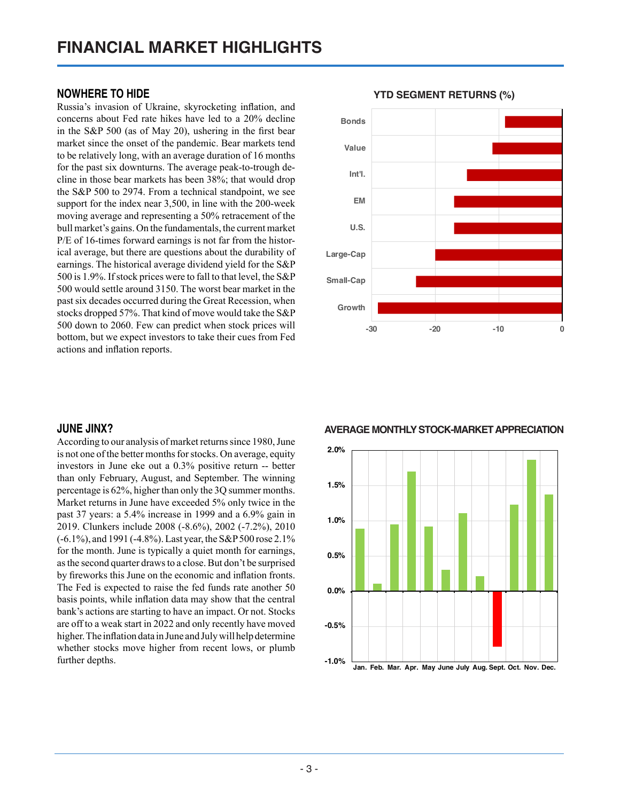## **NOWHERE TO HIDE**

Russia's invasion of Ukraine, skyrocketing inflation, and concerns about Fed rate hikes have led to a 20% decline in the S&P 500 (as of May 20), ushering in the first bear market since the onset of the pandemic. Bear markets tend to be relatively long, with an average duration of 16 months for the past six downturns. The average peak-to-trough decline in those bear markets has been 38%; that would drop the S&P 500 to 2974. From a technical standpoint, we see support for the index near 3,500, in line with the 200-week moving average and representing a 50% retracement of the bull market's gains. On the fundamentals, the current market P/E of 16-times forward earnings is not far from the historical average, but there are questions about the durability of earnings. The historical average dividend yield for the S&P 500 is 1.9%. If stock prices were to fall to that level, the S&P 500 would settle around 3150. The worst bear market in the past six decades occurred during the Great Recession, when stocks dropped 57%. That kind of move would take the S&P 500 down to 2060. Few can predict when stock prices will bottom, but we expect investors to take their cues from Fed actions and inflation reports.

## **JUNE JINX?**

According to our analysis of market returns since 1980, June is not one of the better months for stocks. On average, equity investors in June eke out a 0.3% positive return -- better than only February, August, and September. The winning percentage is 62%, higher than only the 3Q summer months. Market returns in June have exceeded 5% only twice in the past 37 years: a 5.4% increase in 1999 and a 6.9% gain in 2019. Clunkers include 2008 (-8.6%), 2002 (-7.2%), 2010 (-6.1%), and 1991 (-4.8%). Last year, the S&P 500 rose 2.1% for the month. June is typically a quiet month for earnings, as the second quarter draws to a close. But don't be surprised by fireworks this June on the economic and inflation fronts. The Fed is expected to raise the fed funds rate another 50 basis points, while inflation data may show that the central bank's actions are starting to have an impact. Or not. Stocks are off to a weak start in 2022 and only recently have moved higher. The inflation data in June and July will help determine whether stocks move higher from recent lows, or plumb further depths.



## **YTD SEGMENT RETURNS (%) YTD SEGMENT RETURNS (%)**

## **AVERAGE MONTHLY STOCK-MARKET APPRECIATION Average Monthly Stock-Market Appreciation**